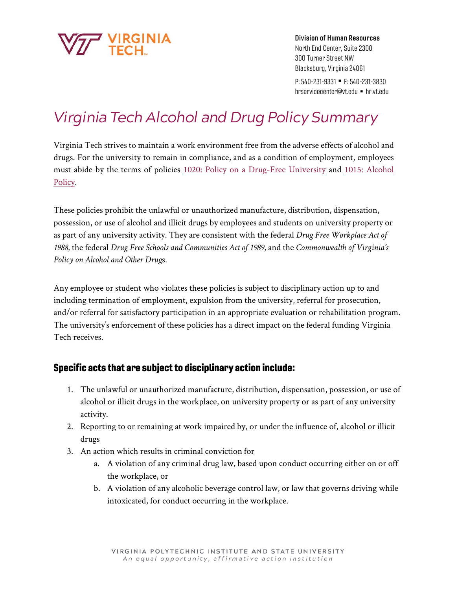

Division of Human Resources North End Center, Suite 2300 300 Turner Street NW Blacksburg, Virginia 24061 P: 540-231-9331 · F: 540-231-3830 hrservicecenter@vt.edu hr.vt.edu

## *Virginia Tech Alcohol and Drug Policy Summary*

Virginia Tech strives to maintain a work environment free from the adverse effects of alcohol and drugs. For the university to remain in compliance, and as a condition of employment, employees must abide by the terms of policies [1020: Policy on a Drug-Free University](http://policies.vt.edu/1020.pdf) and [1015: Alcohol](http://policies.vt.edu/1015.pdf)  [Policy.](http://policies.vt.edu/1015.pdf)

These policies prohibit the unlawful or unauthorized manufacture, distribution, dispensation, possession, or use of alcohol and illicit drugs by employees and students on university property or as part of any university activity. They are consistent with the federal *Drug Free Workplace Act of 1988*, the federal *Drug Free Schools and Communities Act of 1989*, and the *Commonwealth of Virginia's Policy on Alcohol and Other Drug*s.

Any employee or student who violates these policies is subject to disciplinary action up to and including termination of employment, expulsion from the university, referral for prosecution, and/or referral for satisfactory participation in an appropriate evaluation or rehabilitation program. The university's enforcement of these policies has a direct impact on the federal funding Virginia Tech receives.

## Specific acts that are subject to disciplinary action include:

- 1. The unlawful or unauthorized manufacture, distribution, dispensation, possession, or use of alcohol or illicit drugs in the workplace, on university property or as part of any university activity.
- 2. Reporting to or remaining at work impaired by, or under the influence of, alcohol or illicit drugs
- 3. An action which results in criminal conviction for
	- a. A violation of any criminal drug law, based upon conduct occurring either on or off the workplace, or
	- b. A violation of any alcoholic beverage control law, or law that governs driving while intoxicated, for conduct occurring in the workplace.